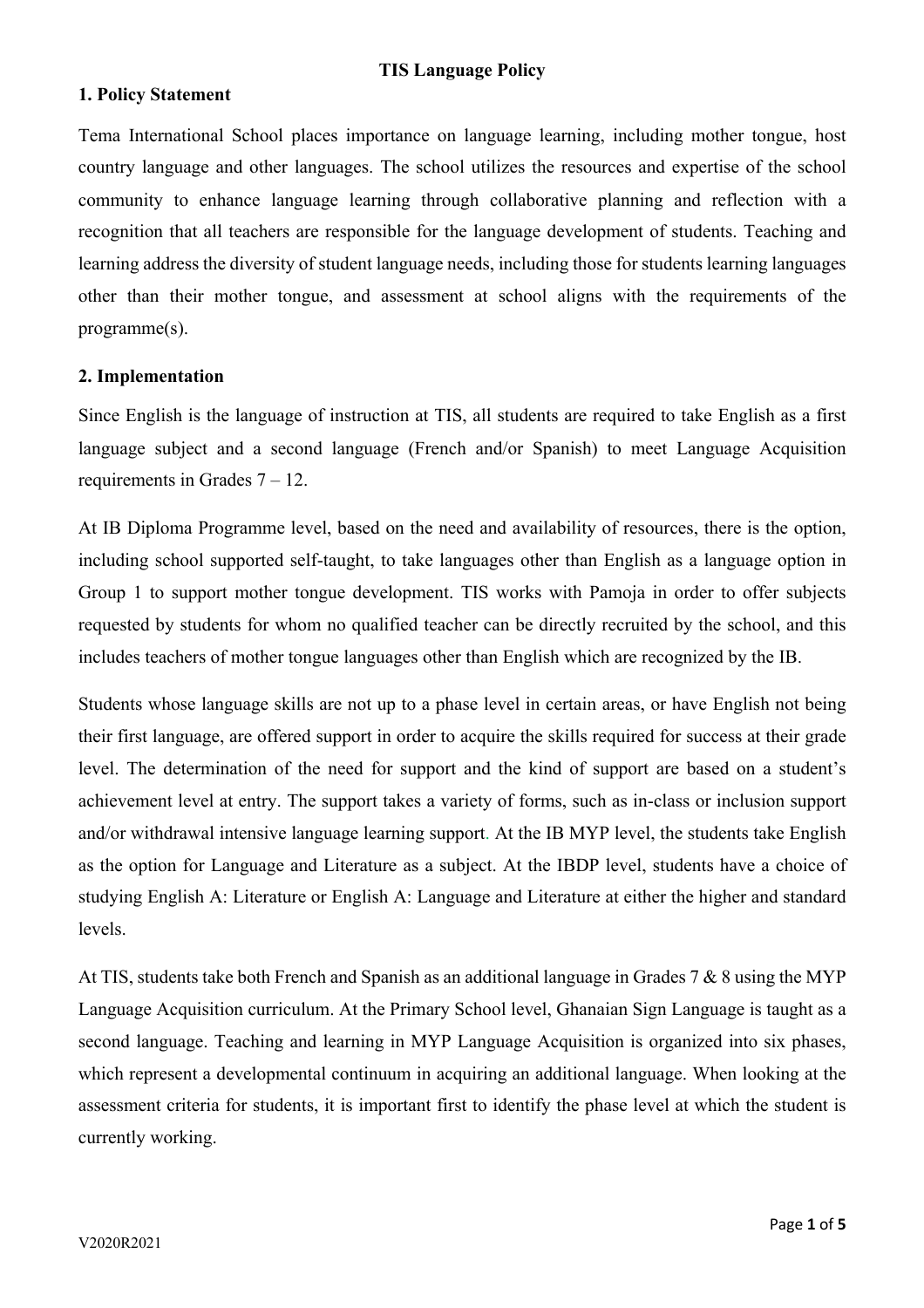#### **TIS Language Policy**

#### **1. Policy Statement**

Tema International School places importance on language learning, including mother tongue, host country language and other languages. The school utilizes the resources and expertise of the school community to enhance language learning through collaborative planning and reflection with a recognition that all teachers are responsible for the language development of students. Teaching and learning address the diversity of student language needs, including those for students learning languages other than their mother tongue, and assessment at school aligns with the requirements of the programme(s).

#### **2. Implementation**

Since English is the language of instruction at TIS, all students are required to take English as a first language subject and a second language (French and/or Spanish) to meet Language Acquisition requirements in Grades 7 – 12.

At IB Diploma Programme level, based on the need and availability of resources, there is the option, including school supported self-taught, to take languages other than English as a language option in Group 1 to support mother tongue development. TIS works with Pamoja in order to offer subjects requested by students for whom no qualified teacher can be directly recruited by the school, and this includes teachers of mother tongue languages other than English which are recognized by the IB.

Students whose language skills are not up to a phase level in certain areas, or have English not being their first language, are offered support in order to acquire the skills required for success at their grade level. The determination of the need for support and the kind of support are based on a student's achievement level at entry. The support takes a variety of forms, such as in-class or inclusion support and/or withdrawal intensive language learning support. At the IB MYP level, the students take English as the option for Language and Literature as a subject. At the IBDP level, students have a choice of studying English A: Literature or English A: Language and Literature at either the higher and standard levels.

At TIS, students take both French and Spanish as an additional language in Grades 7 & 8 using the MYP Language Acquisition curriculum. At the Primary School level, Ghanaian Sign Language is taught as a second language. Teaching and learning in MYP Language Acquisition is organized into six phases, which represent a developmental continuum in acquiring an additional language. When looking at the assessment criteria for students, it is important first to identify the phase level at which the student is currently working.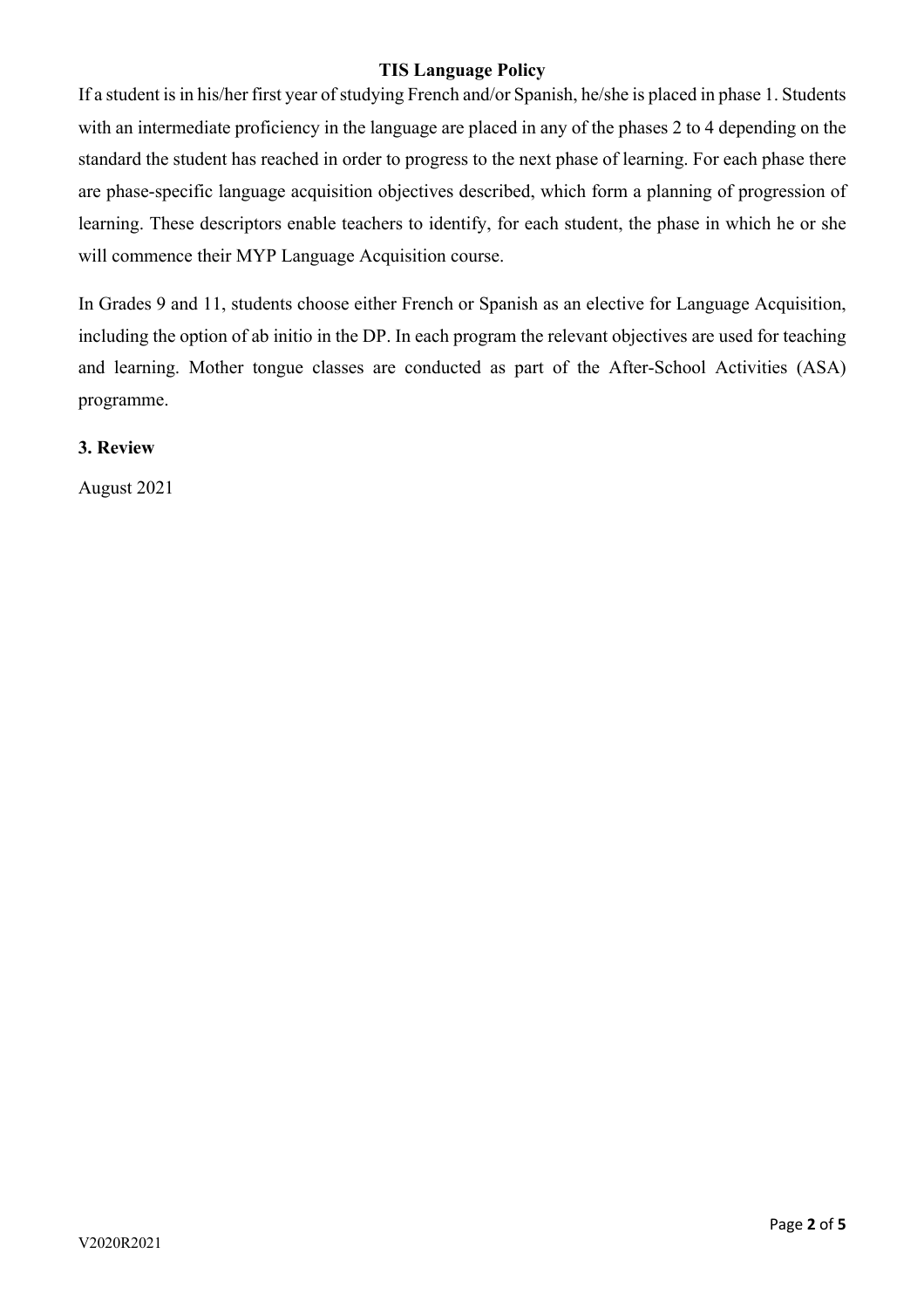#### **TIS Language Policy**

If a student is in his/her first year of studying French and/or Spanish, he/she is placed in phase 1. Students with an intermediate proficiency in the language are placed in any of the phases 2 to 4 depending on the standard the student has reached in order to progress to the next phase of learning. For each phase there are phase-specific language acquisition objectives described, which form a planning of progression of learning. These descriptors enable teachers to identify, for each student, the phase in which he or she will commence their MYP Language Acquisition course.

In Grades 9 and 11, students choose either French or Spanish as an elective for Language Acquisition, including the option of ab initio in the DP. In each program the relevant objectives are used for teaching and learning. Mother tongue classes are conducted as part of the After-School Activities (ASA) programme.

# **3. Review**

August 2021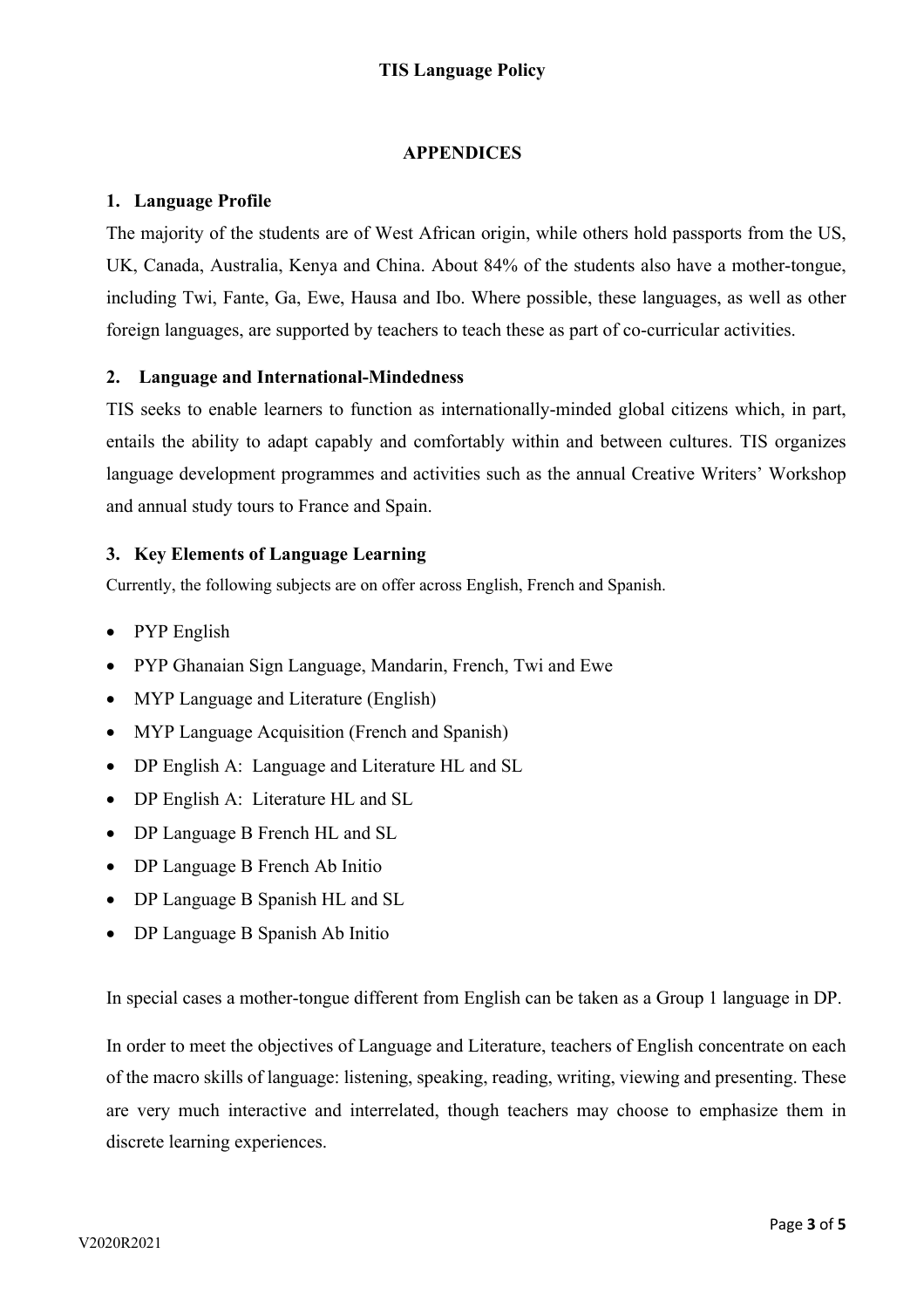### **TIS Language Policy**

## **APPENDICES**

## **1. Language Profile**

The majority of the students are of West African origin, while others hold passports from the US, UK, Canada, Australia, Kenya and China. About 84% of the students also have a mother-tongue, including Twi, Fante, Ga, Ewe, Hausa and Ibo. Where possible, these languages, as well as other foreign languages, are supported by teachers to teach these as part of co-curricular activities.

#### **2. Language and International-Mindedness**

TIS seeks to enable learners to function as internationally-minded global citizens which, in part, entails the ability to adapt capably and comfortably within and between cultures. TIS organizes language development programmes and activities such as the annual Creative Writers' Workshop and annual study tours to France and Spain.

#### **3. Key Elements of Language Learning**

Currently, the following subjects are on offer across English, French and Spanish.

- PYP English
- PYP Ghanaian Sign Language, Mandarin, French, Twi and Ewe
- MYP Language and Literature (English)
- MYP Language Acquisition (French and Spanish)
- DP English A: Language and Literature HL and SL
- DP English A: Literature HL and SL
- DP Language B French HL and SL
- DP Language B French Ab Initio
- DP Language B Spanish HL and SL
- DP Language B Spanish Ab Initio

In special cases a mother-tongue different from English can be taken as a Group 1 language in DP.

In order to meet the objectives of Language and Literature, teachers of English concentrate on each of the macro skills of language: listening, speaking, reading, writing, viewing and presenting. These are very much interactive and interrelated, though teachers may choose to emphasize them in discrete learning experiences.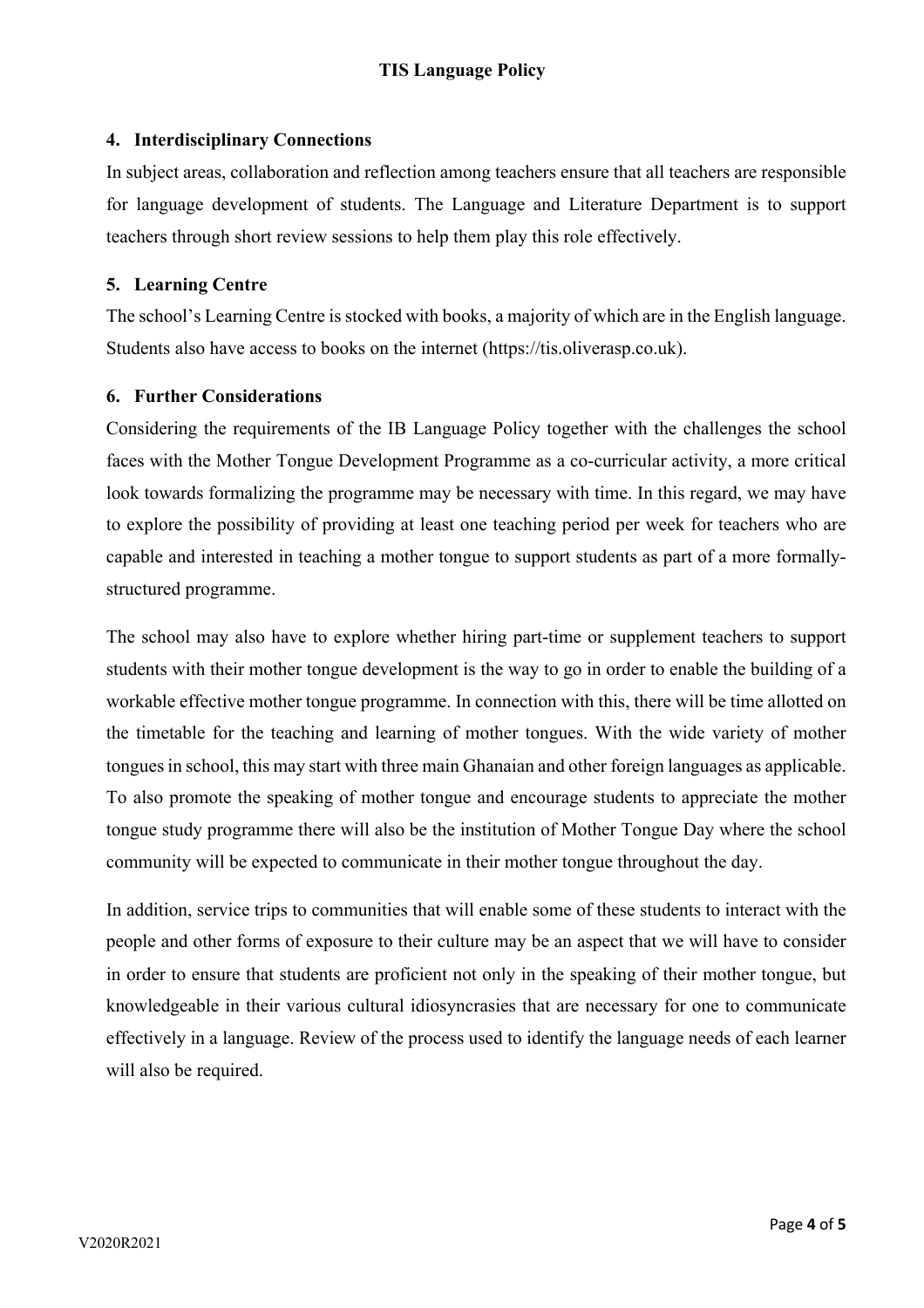## **4. Interdisciplinary Connections**

In subject areas, collaboration and reflection among teachers ensure that all teachers are responsible for language development of students. The Language and Literature Department is to support teachers through short review sessions to help them play this role effectively.

## **5. Learning Centre**

The school's Learning Centre is stocked with books, a majority of which are in the English language. Students also have access to books on the internet (https://tis.oliverasp.co.uk).

# **6. Further Considerations**

Considering the requirements of the IB Language Policy together with the challenges the school faces with the Mother Tongue Development Programme as a co-curricular activity, a more critical look towards formalizing the programme may be necessary with time. In this regard, we may have to explore the possibility of providing at least one teaching period per week for teachers who are capable and interested in teaching a mother tongue to support students as part of a more formallystructured programme.

The school may also have to explore whether hiring part-time or supplement teachers to support students with their mother tongue development is the way to go in order to enable the building of a workable effective mother tongue programme. In connection with this, there will be time allotted on the timetable for the teaching and learning of mother tongues. With the wide variety of mother tongues in school, this may start with three main Ghanaian and other foreign languages as applicable. To also promote the speaking of mother tongue and encourage students to appreciate the mother tongue study programme there will also be the institution of Mother Tongue Day where the school community will be expected to communicate in their mother tongue throughout the day.

In addition, service trips to communities that will enable some of these students to interact with the people and other forms of exposure to their culture may be an aspect that we will have to consider in order to ensure that students are proficient not only in the speaking of their mother tongue, but knowledgeable in their various cultural idiosyncrasies that are necessary for one to communicate effectively in a language. Review of the process used to identify the language needs of each learner will also be required.